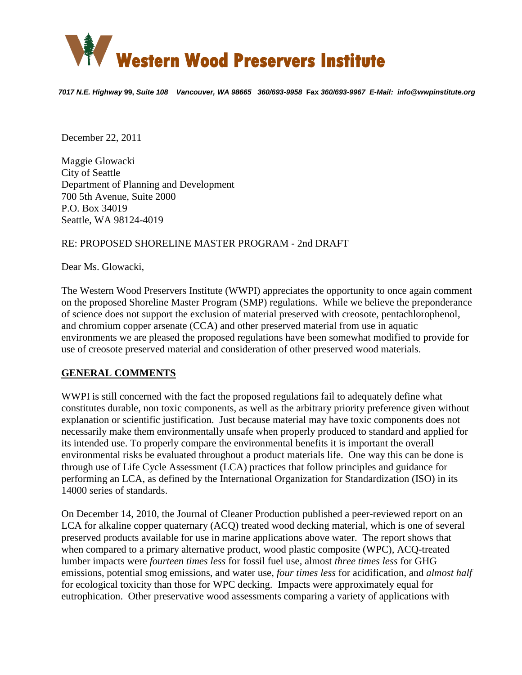

7017 N.E. Highway 99, Suite 108 Vancouver, WA 98665 360/693-9958 Fax 360/693-9967 E-Mail: info@wwpinstitute.org

December 22, 2011

Maggie Glowacki City of Seattle Department of Planning and Development 700 5th Avenue, Suite 2000 P.O. Box 34019 Seattle, WA 98124-4019

#### RE: PROPOSED SHORELINE MASTER PROGRAM - 2nd DRAFT

Dear Ms. Glowacki,

The Western Wood Preservers Institute (WWPI) appreciates the opportunity to once again comment on the proposed Shoreline Master Program (SMP) regulations. While we believe the preponderance of science does not support the exclusion of material preserved with creosote, pentachlorophenol, and chromium copper arsenate (CCA) and other preserved material from use in aquatic environments we are pleased the proposed regulations have been somewhat modified to provide for use of creosote preserved material and consideration of other preserved wood materials.

#### **GENERAL COMMENTS**

WWPI is still concerned with the fact the proposed regulations fail to adequately define what constitutes durable, non toxic components, as well as the arbitrary priority preference given without explanation or scientific justification. Just because material may have toxic components does not necessarily make them environmentally unsafe when properly produced to standard and applied for its intended use. To properly compare the environmental benefits it is important the overall environmental risks be evaluated throughout a product materials life. One way this can be done is through use of Life Cycle Assessment (LCA) practices that follow principles and guidance for performing an LCA, as defined by the International Organization for Standardization (ISO) in its 14000 series of standards.

On December 14, 2010, the Journal of Cleaner Production published a peer-reviewed report on an LCA for alkaline copper quaternary (ACQ) treated wood decking material, which is one of several preserved products available for use in marine applications above water. The report shows that when compared to a primary alternative product, wood plastic composite (WPC), ACQ-treated lumber impacts were *fourteen times less* for fossil fuel use, almost *three times less* for GHG emissions, potential smog emissions, and water use, *four times less* for acidification, and *almost half* for ecological toxicity than those for WPC decking. Impacts were approximately equal for eutrophication. Other preservative wood assessments comparing a variety of applications with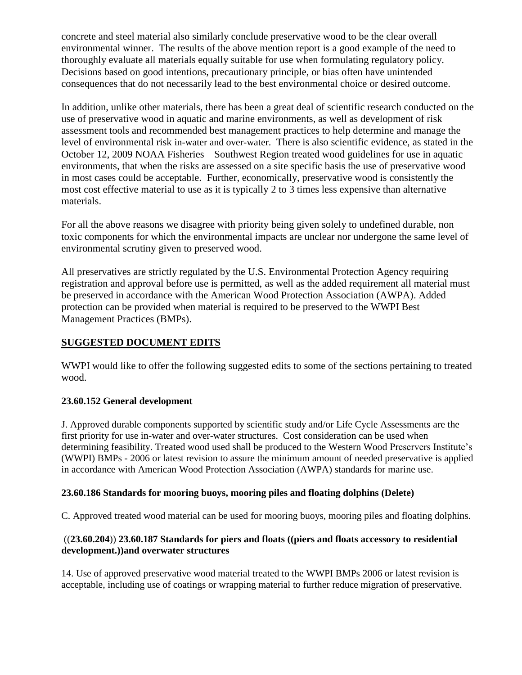concrete and steel material also similarly conclude preservative wood to be the clear overall environmental winner. The results of the above mention report is a good example of the need to thoroughly evaluate all materials equally suitable for use when formulating regulatory policy. Decisions based on good intentions, precautionary principle, or bias often have unintended consequences that do not necessarily lead to the best environmental choice or desired outcome.

In addition, unlike other materials, there has been a great deal of scientific research conducted on the use of preservative wood in aquatic and marine environments, as well as development of risk assessment tools and recommended best management practices to help determine and manage the level of environmental risk in-water and over-water. There is also scientific evidence, as stated in the October 12, 2009 NOAA Fisheries – Southwest Region treated wood guidelines for use in aquatic environments, that when the risks are assessed on a site specific basis the use of preservative wood in most cases could be acceptable. Further, economically, preservative wood is consistently the most cost effective material to use as it is typically 2 to 3 times less expensive than alternative materials.

For all the above reasons we disagree with priority being given solely to undefined durable, non toxic components for which the environmental impacts are unclear nor undergone the same level of environmental scrutiny given to preserved wood.

All preservatives are strictly regulated by the U.S. Environmental Protection Agency requiring registration and approval before use is permitted, as well as the added requirement all material must be preserved in accordance with the American Wood Protection Association (AWPA). Added protection can be provided when material is required to be preserved to the WWPI Best Management Practices (BMPs).

# **SUGGESTED DOCUMENT EDITS**

WWPI would like to offer the following suggested edits to some of the sections pertaining to treated wood.

## **23.60.152 General development**

J. Approved durable components supported by scientific study and/or Life Cycle Assessments are the first priority for use in-water and over-water structures. Cost consideration can be used when determining feasibility. Treated wood used shall be produced to the Western Wood Preservers Institute's (WWPI) BMPs - 2006 or latest revision to assure the minimum amount of needed preservative is applied in accordance with American Wood Protection Association (AWPA) standards for marine use.

## **23.60.186 Standards for mooring buoys, mooring piles and floating dolphins (Delete)**

C. Approved treated wood material can be used for mooring buoys, mooring piles and floating dolphins.

### ((**23.60.204**)) **23.60.187 Standards for piers and floats ((piers and floats accessory to residential development.))and overwater structures**

14. Use of approved preservative wood material treated to the WWPI BMPs 2006 or latest revision is acceptable, including use of coatings or wrapping material to further reduce migration of preservative.